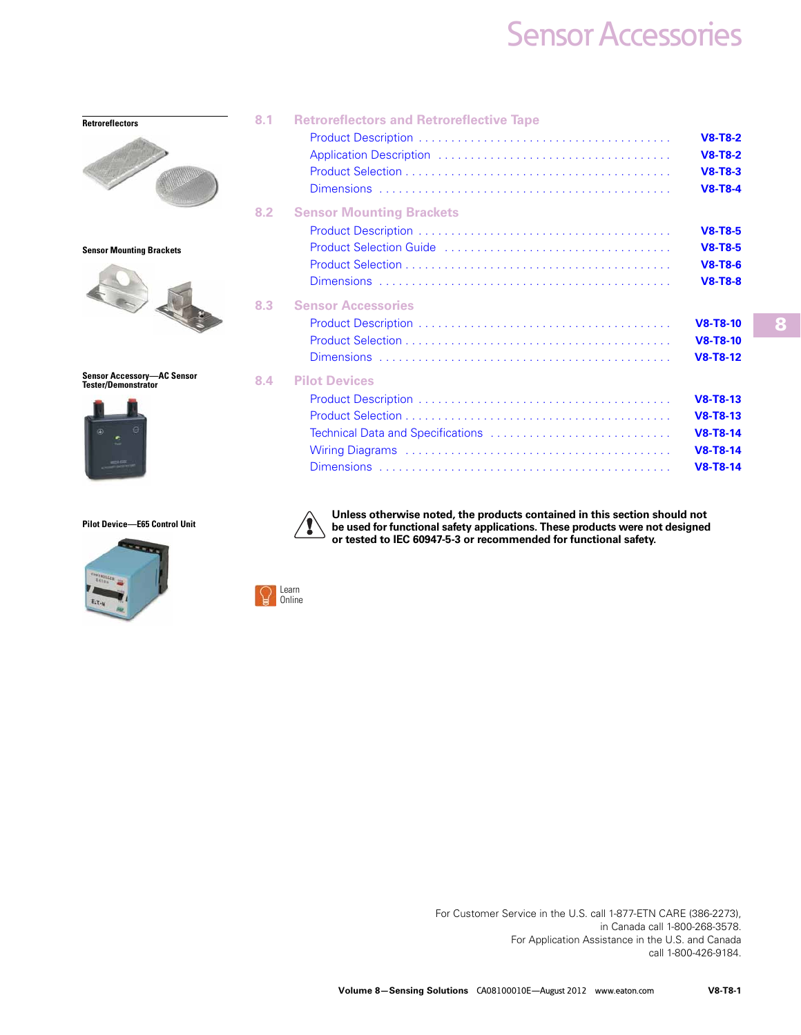| <b>Retroreflectors</b>                                          | 8.1 | <b>Retroreflectors and Retroreflective Tape</b> | $V8-T8-2$<br>$V8-T8-2$<br>$V8-T8-3$<br>$V8-T8-4$                                  |
|-----------------------------------------------------------------|-----|-------------------------------------------------|-----------------------------------------------------------------------------------|
| <b>Sensor Mounting Brackets</b>                                 | 8.2 | <b>Sensor Mounting Brackets</b>                 | $V8-T8-5$<br>$V8-T8-5$<br>$V8-T8-6$<br>$V8-T8-8$                                  |
|                                                                 | 8.3 | <b>Sensor Accessories</b>                       | $V8-T8-10$<br>$V8-T8-10$<br>$V8-T8-12$                                            |
| <b>Sensor Accessory-AC Sensor</b><br><b>Tester/Demonstrator</b> | 8.4 | <b>Pilot Devices</b>                            | $V8-T8-13$<br>$V8-T8-13$<br><b>V8-T8-14</b><br><b>V8-T8-14</b><br><b>V8-T8-14</b> |

#### **Pilot Device—E65 Control Unit**



**Unless otherwise noted, the products contained in this section should not be used for functional safety applications. These products were not designed or tested to IEC 60947-5-3 or recommended for functional safety.** 



T

For Customer Service in the U.S. call 1-877-ETN CARE (386-2273), in Canada call 1-800-268-3578. For Application Assistance in the U.S. and Canada call 1-800-426-9184.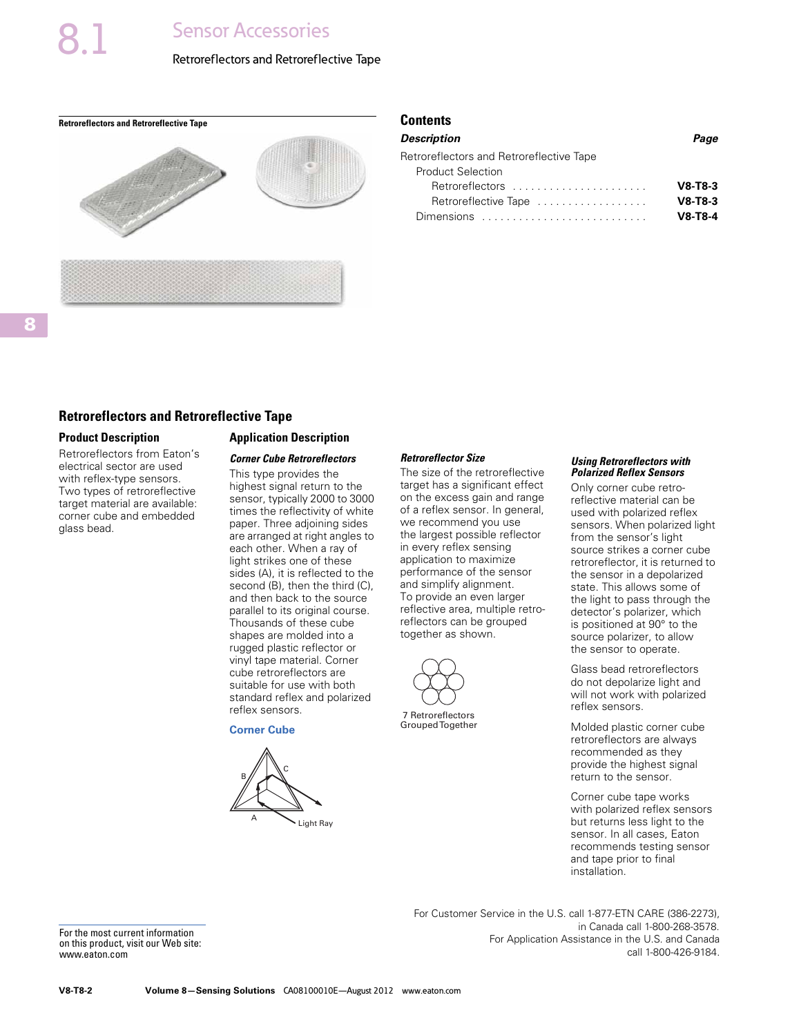#### Retroreflectors and Retroreflective Tape

<span id="page-1-0"></span>**Retroreflectors and Retroreflective Tape Contents** Contents



| Description                              | Page      |
|------------------------------------------|-----------|
| Retroreflectors and Retroreflective Tape |           |
| <b>Product Selection</b>                 |           |
| Retroreflectors                          | $V8-T8-3$ |
| Retroreflective Tape                     | $V8-T8-3$ |
| Dimensions                               | $V8-T8-4$ |
|                                          |           |

#### **Retroreflectors and Retroreflective Tape**

#### **Product Description**

Retroreflectors from Eaton's electrical sector are used with reflex-type sensors. Two types of retroreflective target material are available: corner cube and embedded glass bead.

#### **Application Description**

#### *Corner Cube Retroreflectors*

This type provides the highest signal return to the sensor, typically 2000 to 3000 times the reflectivity of white paper. Three adjoining sides are arranged at right angles to each other. When a ray of light strikes one of these sides (A), it is reflected to the second (B), then the third (C), and then back to the source parallel to its original course. Thousands of these cube shapes are molded into a rugged plastic reflector or vinyl tape material. Corner cube retroreflectors are suitable for use with both standard reflex and polarized reflex sensors.

**Corner Cube**

# Light Ray  $\mathbb{B}/\mathbb{A}^c$

#### *Retroreflector Size*

The size of the retroreflective target has a significant effect on the excess gain and range of a reflex sensor. In general, we recommend you use the largest possible reflector in every reflex sensing application to maximize performance of the sensor and simplify alignment. To provide an even larger reflective area, multiple retroreflectors can be grouped together as shown.



7 Retroreflectors Grouped Together

#### *Using Retroreflectors with Polarized Reflex Sensors*

Only corner cube retroreflective material can be used with polarized reflex sensors. When polarized light from the sensor's light source strikes a corner cube retroreflector, it is returned to the sensor in a depolarized state. This allows some of the light to pass through the detector's polarizer, which is positioned at 90° to the source polarizer, to allow the sensor to operate.

Glass bead retroreflectors do not depolarize light and will not work with polarized reflex sensors.

Molded plastic corner cube retroreflectors are always recommended as they provide the highest signal return to the sensor.

Corner cube tape works with polarized reflex sensors but returns less light to the sensor. In all cases, Eaton recommends testing sensor and tape prior to final installation.

For the most current information on this product, visit our Web site: www.eaton.com

For Customer Service in the U.S. call 1-877-ETN CARE (386-2273), in Canada call 1-800-268-3578. For Application Assistance in the U.S. and Canada call 1-800-426-9184.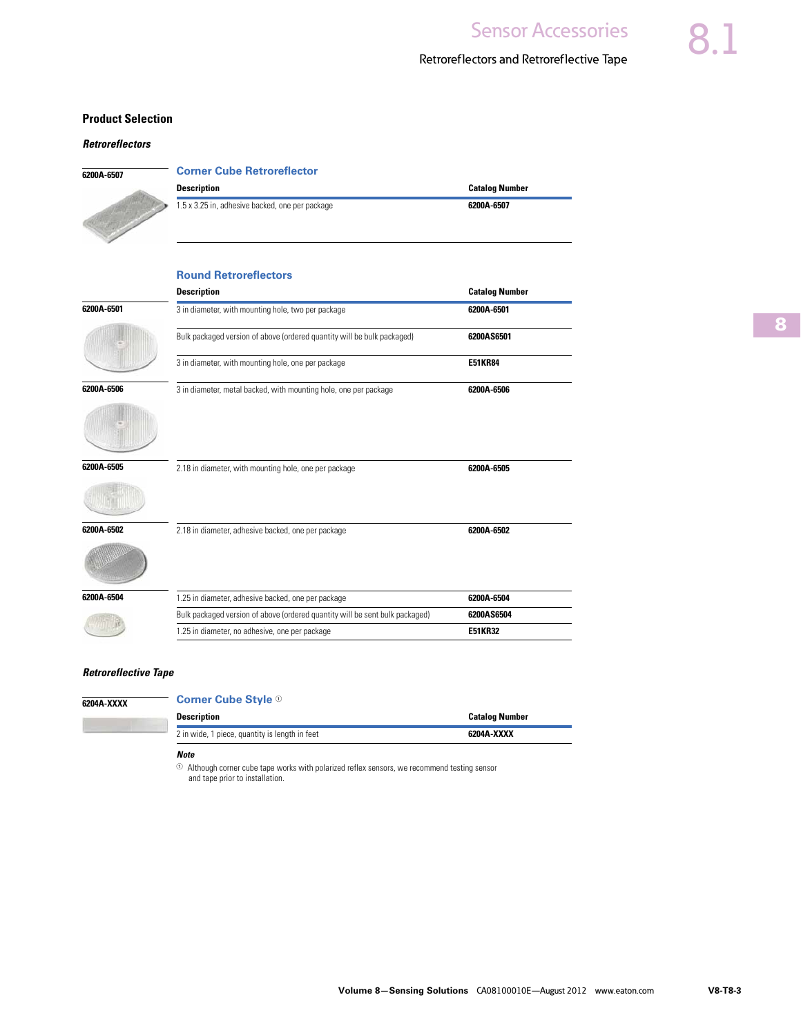#### Retroreflectors and Retroreflective Tape

#### <span id="page-2-0"></span>**Product Selection**

#### *Retroreflectors*

| 6200A-6507 |  |
|------------|--|
|            |  |

| <b>Corner Cube Retroreflector</b>               |                |
|-------------------------------------------------|----------------|
| <b>Description</b>                              | Catalog Number |
| 1.5 x 3.25 in, adhesive backed, one per package | 6200A-6507     |

|            | <b>Round Retroreflectors</b>                                                 |                       |
|------------|------------------------------------------------------------------------------|-----------------------|
|            | <b>Description</b>                                                           | <b>Catalog Number</b> |
| 6200A-6501 | 3 in diameter, with mounting hole, two per package                           | 6200A-6501            |
|            | Bulk packaged version of above (ordered quantity will be bulk packaged)      | 6200AS6501            |
|            | 3 in diameter, with mounting hole, one per package                           | <b>E51KR84</b>        |
| 6200A-6506 | 3 in diameter, metal backed, with mounting hole, one per package             | 6200A-6506            |
|            |                                                                              |                       |
| 6200A-6505 | 2.18 in diameter, with mounting hole, one per package                        | 6200A-6505            |
|            |                                                                              |                       |
| 6200A-6502 | 2.18 in diameter, adhesive backed, one per package                           | 6200A-6502            |
|            |                                                                              |                       |
| 6200A-6504 | 1.25 in diameter, adhesive backed, one per package                           | 6200A-6504            |
|            | Bulk packaged version of above (ordered quantity will be sent bulk packaged) | 6200AS6504            |
|            | 1.25 in diameter, no adhesive, one per package                               | <b>E51KR32</b>        |

#### *Retroreflective Tape*

**6204A-XXXX** 

#### **Corner Cube Style**  $\odot$

| <b>Description</b>                             | <b>Catalog Number</b> |
|------------------------------------------------|-----------------------|
| 2 in wide, 1 piece, quantity is length in feet | 6204A-XXXX            |

*Note*

<sup>1</sup>Although corner cube tape works with polarized reflex sensors, we recommend testing sensor and tape prior to installation.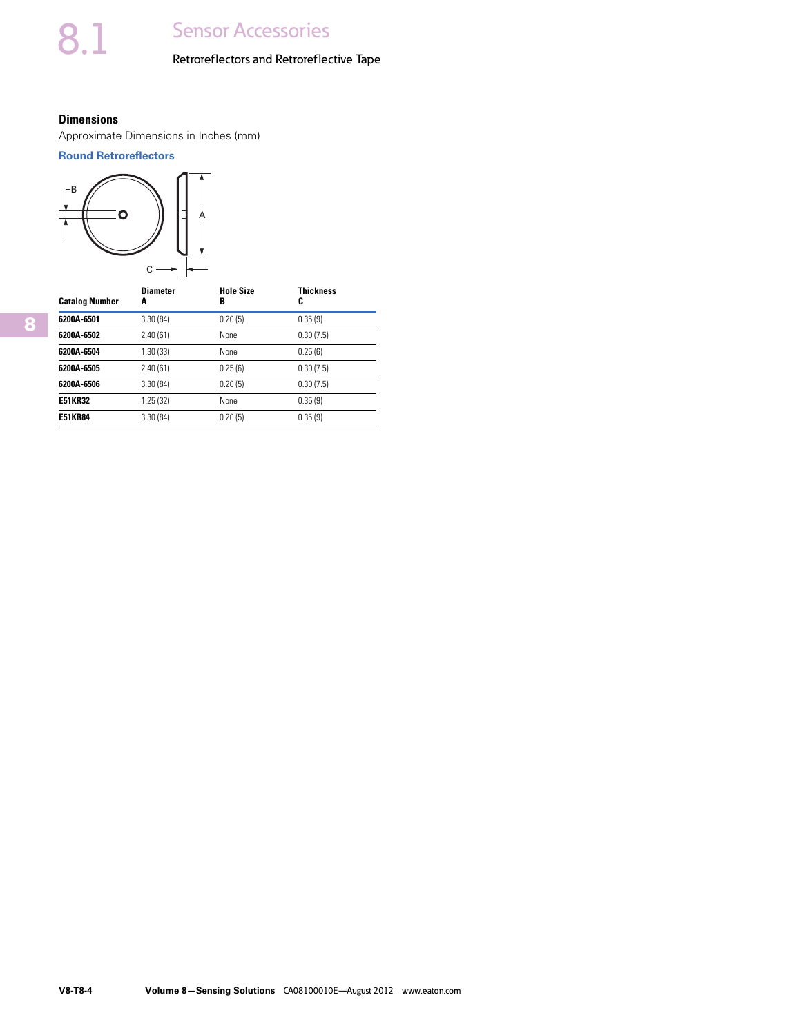### Retroreflectors and Retroreflective Tape

#### <span id="page-3-0"></span>**Dimensions**

Approximate Dimensions in Inches (mm)

#### **Round Retroreflectors**



| <b>Catalog Number</b> | <b>Diameter</b><br>A | <b>Hole Size</b><br>в | <b>Thickness</b><br>C |
|-----------------------|----------------------|-----------------------|-----------------------|
| 6200A-6501            | 3.30(84)             | 0.20(5)               | 0.35(9)               |
| 6200A-6502            | 2.40(61)             | None                  | 0.30(7.5)             |
| 6200A-6504            | 1.30 (33)            | None                  | 0.25(6)               |
| 6200A-6505            | 2.40(61)             | 0.25(6)               | 0.30(7.5)             |
| 6200A-6506            | 3.30(84)             | 0.20(5)               | 0.30(7.5)             |
| <b>E51KR32</b>        | 1.25(32)             | None                  | 0.35(9)               |
| <b>E51KR84</b>        | 3.30(84)             | 0.20(5)               | 0.35(9)               |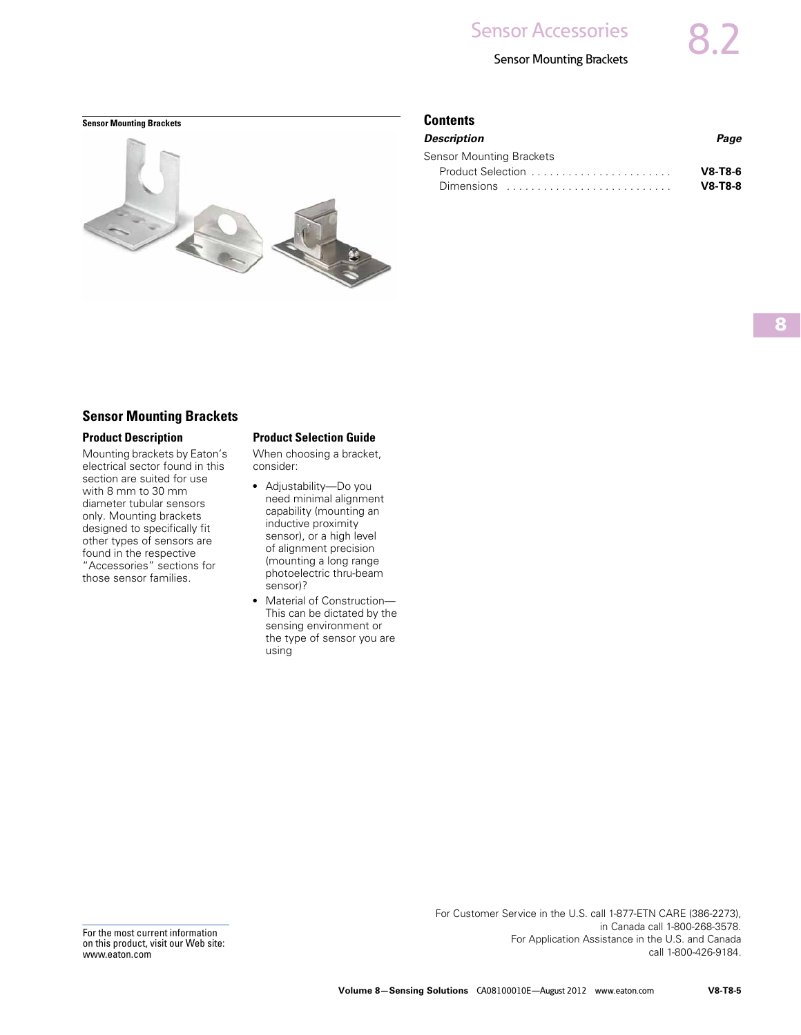#### Sensor Mounting Brackets

#### <span id="page-4-0"></span>**Sensor Mounting Brackets Contents Contents**



| Description                                                          | Page      |
|----------------------------------------------------------------------|-----------|
| Sensor Mounting Brackets                                             |           |
| Product Selection                                                    | $V8-T8-6$ |
| Dimensions $\ldots \ldots \ldots \ldots \ldots \ldots \ldots \ldots$ | $V8-T8-8$ |
|                                                                      |           |

#### **Sensor Mounting Brackets**

#### **Product Description**

Mounting brackets by Eaton's electrical sector found in this section are suited for use with 8 mm to 30 mm diameter tubular sensors only. Mounting brackets designed to specifically fit other types of sensors are found in the respective "Accessories" sections for those sensor families.

#### **Product Selection Guide**

When choosing a bracket, consider:

- Adjustability—Do you need minimal alignment capability (mounting an inductive proximity sensor), or a high level of alignment precision (mounting a long range photoelectric thru-beam sensor)?
- Material of Construction-This can be dictated by the sensing environment or the type of sensor you are using

For the most current information on this product, visit our Web site: www.eaton.com

For Customer Service in the U.S. call 1-877-ETN CARE (386-2273), in Canada call 1-800-268-3578. For Application Assistance in the U.S. and Canada call 1-800-426-9184.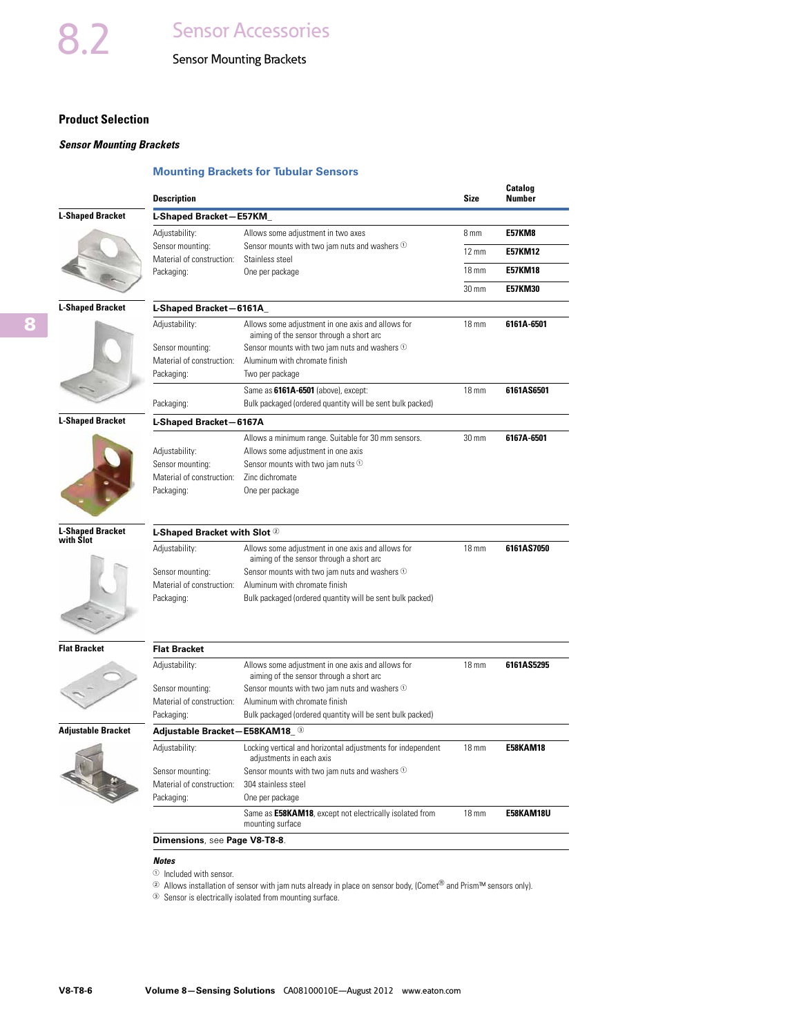## Sensor Mounting Brackets

#### <span id="page-5-0"></span>**Product Selection**

#### *Sensor Mounting Brackets*

#### **Mounting Brackets for Tubular Sensors**

|                                      | <b>Description</b>                      |                                                                                               | Size            | Catalog<br>Number |
|--------------------------------------|-----------------------------------------|-----------------------------------------------------------------------------------------------|-----------------|-------------------|
| <b>L-Shaped Bracket</b>              | L-Shaped Bracket-E57KM                  |                                                                                               |                 |                   |
|                                      | Adjustability:                          | Allows some adjustment in two axes                                                            | 8 mm            | <b>E57KM8</b>     |
|                                      | Sensor mounting:                        | Sensor mounts with two jam nuts and washers $\Phi$                                            | $12 \text{ mm}$ | <b>E57KM12</b>    |
|                                      | Material of construction:<br>Packaging: | Stainless steel<br>One per package                                                            | $18 \text{ mm}$ | E57KM18           |
|                                      |                                         |                                                                                               |                 |                   |
|                                      |                                         |                                                                                               | 30 mm           | <b>E57KM30</b>    |
| <b>L-Shaped Bracket</b>              | L-Shaped Bracket-6161A                  |                                                                                               |                 |                   |
|                                      | Adjustability:                          | Allows some adjustment in one axis and allows for<br>aiming of the sensor through a short arc | $18 \text{ mm}$ | 6161A-6501        |
|                                      | Sensor mounting:                        | Sensor mounts with two jam nuts and washers $\odot$                                           |                 |                   |
|                                      | Material of construction:               | Aluminum with chromate finish                                                                 |                 |                   |
|                                      | Packaging:                              | Two per package                                                                               |                 |                   |
|                                      |                                         | Same as 6161A-6501 (above), except:                                                           | $18 \text{ mm}$ | 6161AS6501        |
|                                      | Packaging:                              | Bulk packaged (ordered quantity will be sent bulk packed)                                     |                 |                   |
| <b>L-Shaped Bracket</b>              | L-Shaped Bracket-6167A                  |                                                                                               |                 |                   |
|                                      | Adjustability:                          | Allows a minimum range. Suitable for 30 mm sensors.<br>Allows some adjustment in one axis     | 30 mm           | 6167A-6501        |
|                                      | Sensor mounting:                        | Sensor mounts with two jam nuts 1                                                             |                 |                   |
|                                      | Material of construction:               | Zinc dichromate                                                                               |                 |                   |
|                                      | Packaging:                              | One per package                                                                               |                 |                   |
| <b>L-Shaped Bracket</b><br>with Slot | L-Shaped Bracket with Slot 2            |                                                                                               |                 |                   |
|                                      | Adjustability:                          | Allows some adjustment in one axis and allows for<br>aiming of the sensor through a short arc | 18 mm           | 6161AS7050        |
|                                      | Sensor mounting:                        | Sensor mounts with two jam nuts and washers 1                                                 |                 |                   |
|                                      | Material of construction:               | Aluminum with chromate finish                                                                 |                 |                   |
|                                      | Packaging:                              | Bulk packaged (ordered quantity will be sent bulk packed)                                     |                 |                   |
| <b>Flat Bracket</b>                  | <b>Flat Bracket</b>                     |                                                                                               |                 |                   |
|                                      | Adjustability:                          | Allows some adjustment in one axis and allows for<br>aiming of the sensor through a short arc | $18 \text{ mm}$ | 6161AS5295        |
|                                      | Sensor mounting:                        | Sensor mounts with two jam nuts and washers <sup>1</sup>                                      |                 |                   |
|                                      | Material of construction:               | Aluminum with chromate finish                                                                 |                 |                   |
|                                      | Packaging:                              | Bulk packaged (ordered quantity will be sent bulk packed)                                     |                 |                   |
| <b>Adjustable Bracket</b>            | Adjustable Bracket-E58KAM18_3           |                                                                                               |                 |                   |
|                                      | Adjustability:                          | Locking vertical and horizontal adjustments for independent<br>adjustments in each axis       | $18 \text{ mm}$ | <b>E58KAM18</b>   |
|                                      | Sensor mounting:                        | Sensor mounts with two jam nuts and washers 1                                                 |                 |                   |
|                                      | Material of construction:               | 304 stainless steel                                                                           |                 |                   |
|                                      | Packaging:                              | One per package                                                                               |                 |                   |
|                                      |                                         | Same as E58KAM18, except not electrically isolated from<br>mounting surface                   | $18 \text{ mm}$ | E58KAM18U         |
|                                      | Dimensions, see Page V8-T8-8.           |                                                                                               |                 |                   |

 $\overline{\phantom{0}}$  $\overline{\phantom{0}}$ 

#### *Notes*

- $\odot$  Included with sensor.
- <sup>2</sup> Allows installation of sensor with jam nuts already in place on sensor body, (Comet<sup>®</sup> and Prism™ sensors only).
- <sup>3</sup> Sensor is electrically isolated from mounting surface.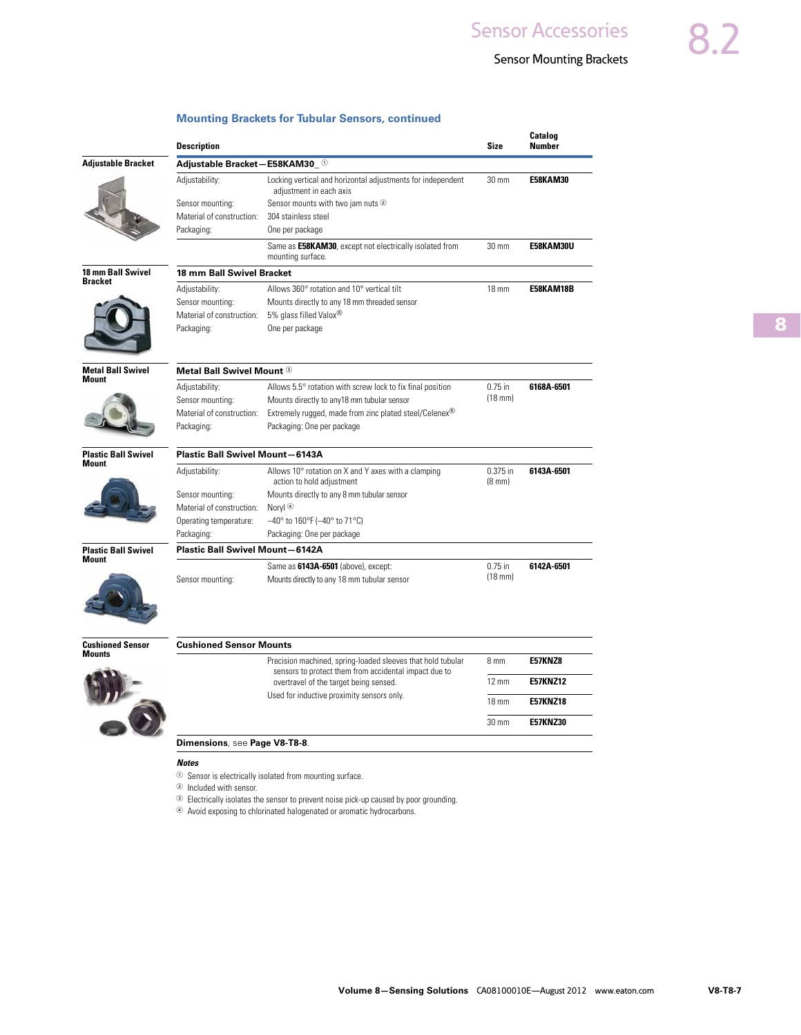### Sensor Mounting Brackets

| Adjustable Bracket-E58KAM30_0<br>Adjustability:<br>Sensor mounting:<br>Material of construction: | Locking vertical and horizontal adjustments for independent<br>adjustment in each axis<br>Sensor mounts with two jam nuts 2                   | $30 \text{ mm}$                                                                                                                                                                                                                                                                                                                                                                                                                                                                                                                         | <b>E58KAM30</b>                                                                  |
|--------------------------------------------------------------------------------------------------|-----------------------------------------------------------------------------------------------------------------------------------------------|-----------------------------------------------------------------------------------------------------------------------------------------------------------------------------------------------------------------------------------------------------------------------------------------------------------------------------------------------------------------------------------------------------------------------------------------------------------------------------------------------------------------------------------------|----------------------------------------------------------------------------------|
|                                                                                                  |                                                                                                                                               |                                                                                                                                                                                                                                                                                                                                                                                                                                                                                                                                         |                                                                                  |
|                                                                                                  |                                                                                                                                               |                                                                                                                                                                                                                                                                                                                                                                                                                                                                                                                                         |                                                                                  |
|                                                                                                  |                                                                                                                                               |                                                                                                                                                                                                                                                                                                                                                                                                                                                                                                                                         |                                                                                  |
|                                                                                                  | 304 stainless steel                                                                                                                           |                                                                                                                                                                                                                                                                                                                                                                                                                                                                                                                                         |                                                                                  |
| Packaging:                                                                                       | One per package                                                                                                                               |                                                                                                                                                                                                                                                                                                                                                                                                                                                                                                                                         |                                                                                  |
|                                                                                                  | Same as E58KAM30, except not electrically isolated from<br>mounting surface.                                                                  | 30 mm                                                                                                                                                                                                                                                                                                                                                                                                                                                                                                                                   | E58KAM30U                                                                        |
|                                                                                                  |                                                                                                                                               |                                                                                                                                                                                                                                                                                                                                                                                                                                                                                                                                         |                                                                                  |
| Adjustability:                                                                                   |                                                                                                                                               | $18 \text{ mm}$                                                                                                                                                                                                                                                                                                                                                                                                                                                                                                                         | E58KAM18B                                                                        |
|                                                                                                  |                                                                                                                                               |                                                                                                                                                                                                                                                                                                                                                                                                                                                                                                                                         |                                                                                  |
| Packaging:                                                                                       | One per package                                                                                                                               |                                                                                                                                                                                                                                                                                                                                                                                                                                                                                                                                         |                                                                                  |
|                                                                                                  |                                                                                                                                               |                                                                                                                                                                                                                                                                                                                                                                                                                                                                                                                                         |                                                                                  |
|                                                                                                  |                                                                                                                                               |                                                                                                                                                                                                                                                                                                                                                                                                                                                                                                                                         | 6168A-6501                                                                       |
| Sensor mounting:                                                                                 | Mounts directly to any18 mm tubular sensor                                                                                                    | $(18$ mm $)$                                                                                                                                                                                                                                                                                                                                                                                                                                                                                                                            |                                                                                  |
| Material of construction:                                                                        | Extremely rugged, made from zinc plated steel/Celenex <sup>®</sup>                                                                            |                                                                                                                                                                                                                                                                                                                                                                                                                                                                                                                                         |                                                                                  |
| Packaging:                                                                                       | Packaging: One per package                                                                                                                    |                                                                                                                                                                                                                                                                                                                                                                                                                                                                                                                                         |                                                                                  |
|                                                                                                  |                                                                                                                                               |                                                                                                                                                                                                                                                                                                                                                                                                                                                                                                                                         |                                                                                  |
| Adjustability:                                                                                   | Allows 10° rotation on X and Y axes with a clamping                                                                                           | $0.375$ in<br>$(8 \text{ mm})$                                                                                                                                                                                                                                                                                                                                                                                                                                                                                                          | 6143A-6501                                                                       |
| Sensor mounting:                                                                                 | Mounts directly to any 8 mm tubular sensor                                                                                                    |                                                                                                                                                                                                                                                                                                                                                                                                                                                                                                                                         |                                                                                  |
| Material of construction:                                                                        | Noryl $\circledast$                                                                                                                           |                                                                                                                                                                                                                                                                                                                                                                                                                                                                                                                                         |                                                                                  |
| Operating temperature:                                                                           | $-40^{\circ}$ to 160°F ( $-40^{\circ}$ to 71°C)                                                                                               |                                                                                                                                                                                                                                                                                                                                                                                                                                                                                                                                         |                                                                                  |
| Packaging:                                                                                       | Packaging: One per package                                                                                                                    |                                                                                                                                                                                                                                                                                                                                                                                                                                                                                                                                         |                                                                                  |
|                                                                                                  |                                                                                                                                               |                                                                                                                                                                                                                                                                                                                                                                                                                                                                                                                                         |                                                                                  |
|                                                                                                  | Same as 6143A-6501 (above), except:                                                                                                           | $0.75$ in                                                                                                                                                                                                                                                                                                                                                                                                                                                                                                                               | 6142A-6501                                                                       |
|                                                                                                  |                                                                                                                                               |                                                                                                                                                                                                                                                                                                                                                                                                                                                                                                                                         |                                                                                  |
|                                                                                                  |                                                                                                                                               |                                                                                                                                                                                                                                                                                                                                                                                                                                                                                                                                         |                                                                                  |
|                                                                                                  | sensors to protect them from accidental impact due to<br>overtravel of the target being sensed.<br>Used for inductive proximity sensors only. |                                                                                                                                                                                                                                                                                                                                                                                                                                                                                                                                         | E57KNZ8<br><b>E57KNZ12</b>                                                       |
|                                                                                                  |                                                                                                                                               |                                                                                                                                                                                                                                                                                                                                                                                                                                                                                                                                         | <b>E57KNZ18</b>                                                                  |
|                                                                                                  |                                                                                                                                               |                                                                                                                                                                                                                                                                                                                                                                                                                                                                                                                                         | <b>E57KNZ30</b>                                                                  |
|                                                                                                  |                                                                                                                                               |                                                                                                                                                                                                                                                                                                                                                                                                                                                                                                                                         |                                                                                  |
|                                                                                                  | Sensor mounting:<br>Material of construction:<br>Adjustability:<br>Sensor mounting:<br><b>Notes</b>                                           | 18 mm Ball Swivel Bracket<br>Allows 360° rotation and 10° vertical tilt<br>Mounts directly to any 18 mm threaded sensor<br>5% glass filled Valox®<br>Metal Ball Swivel Mount 3<br>Allows 5.5° rotation with screw lock to fix final position<br>Plastic Ball Swivel Mount-6143A<br>action to hold adjustment<br><b>Plastic Ball Swivel Mount-6142A</b><br>Mounts directly to any 18 mm tubular sensor<br><b>Cushioned Sensor Mounts</b><br>Precision machined, spring-loaded sleeves that hold tubular<br>Dimensions, see Page V8-T8-8. | $0.75$ in<br>$(18$ mm $)$<br>8 mm<br>$12 \text{ mm}$<br>$18 \text{ mm}$<br>30 mm |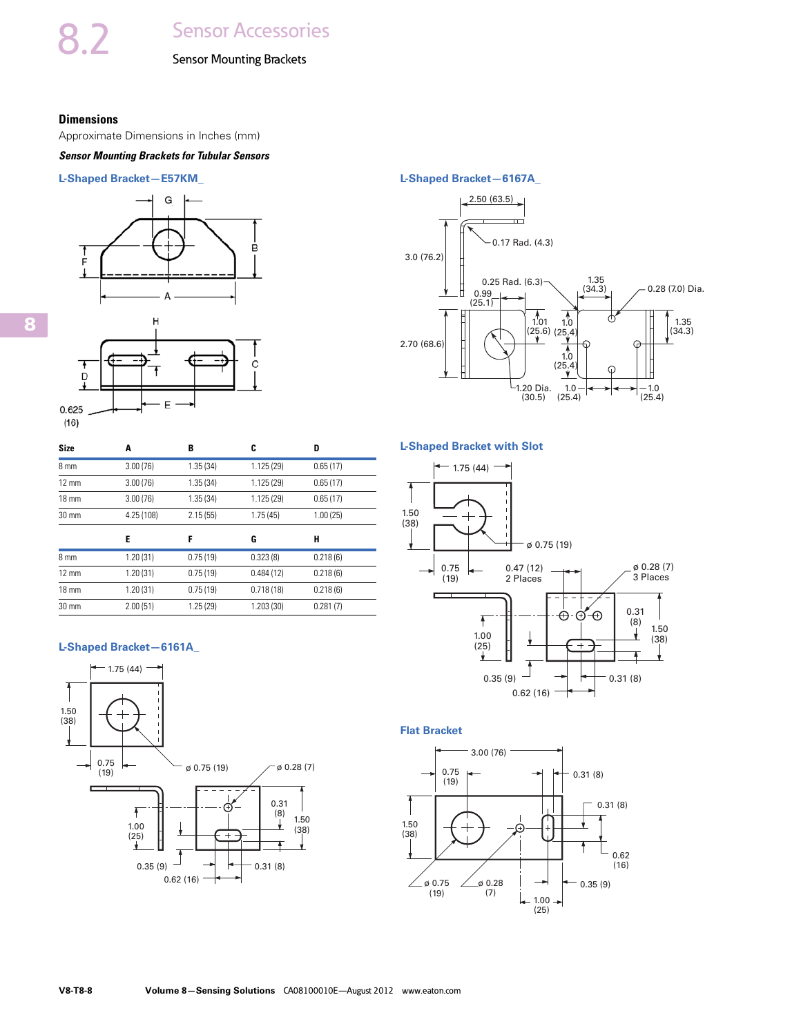#### Sensor Mounting Brackets

#### <span id="page-7-0"></span>**Dimensions**

Approximate Dimensions in Inches (mm)

#### *Sensor Mounting Brackets for Tubular Sensors*

#### **L-Shaped Bracket—E57KM\_**



| <b>Size</b>     | Α          | B        | C         | D        |
|-----------------|------------|----------|-----------|----------|
| 8 mm            | 3.00(76)   | 1.35(34) | 1.125(29) | 0.65(17) |
| $12 \text{ mm}$ | 3.00(76)   | 1.35(34) | 1.125(29) | 0.65(17) |
| $18 \text{ mm}$ | 3.00(76)   | 1.35(34) | 1.125(29) | 0.65(17) |
| $30 \text{ mm}$ | 4.25 (108) | 2.15(55) | 1.75(45)  | 1.00(25) |
|                 |            |          |           |          |
|                 | E          | F        | G         | н        |
| 8 mm            | 1.20(31)   | 0.75(19) | 0.323(8)  | 0.218(6) |
| $12 \text{ mm}$ | 1.20(31)   | 0.75(19) | 0.484(12) | 0.218(6) |
| $18 \text{ mm}$ | 1.20(31)   | 0.75(19) | 0.718(18) | 0.218(6) |

#### **L-Shaped Bracket—6161A\_**



#### **L-Shaped Bracket—6167A\_**



#### **L-Shaped Bracket with Slot**



#### **Flat Bracket**

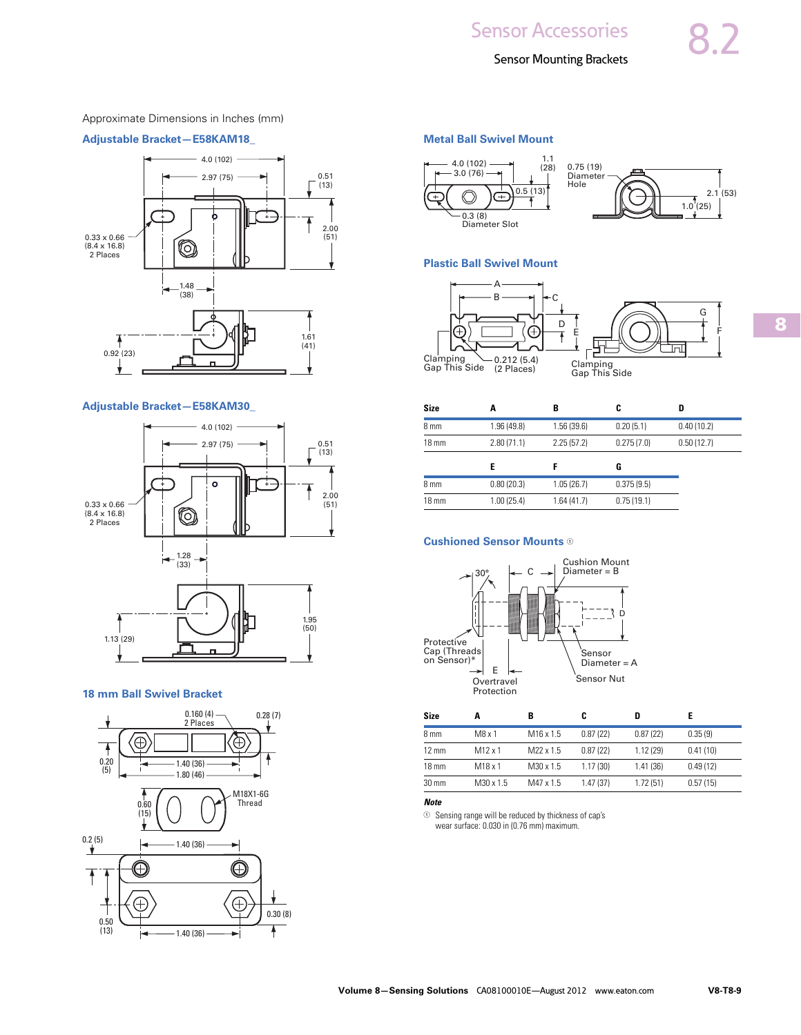#### Approximate Dimensions in Inches (mm)

#### **Adjustable Bracket—E58KAM18\_**



#### **Adjustable Bracket—E58KAM30\_**



#### **18 mm Ball Swivel Bracket**



#### **Metal Ball Swivel Mount**



#### **Plastic Ball Swivel Mount**



| <b>Size</b>     | A           | B          | C          | D          |  |
|-----------------|-------------|------------|------------|------------|--|
| 8 mm            | 1.96 (49.8) | 1.56(39.6) | 0.20(5.1)  | 0.40(10.2) |  |
| $18 \text{ mm}$ | 2.80(71.1)  | 2.25(57.2) | 0.275(7.0) | 0.50(12.7) |  |
|                 | E           |            | G          |            |  |
| 8 mm            | 0.80(20.3)  | 1.05(26.7) | 0.375(9.5) |            |  |
| $18 \text{ mm}$ | 1.00(25.4)  | 1.64(41.7) | 0.75(19.1) |            |  |

#### **Cushioned Sensor Mounts**  $\Phi$



| <b>Size</b>     |                     |                       |          | D        |          |
|-----------------|---------------------|-----------------------|----------|----------|----------|
| 8 mm            | M8 x 1              | M <sub>16</sub> x 1.5 | 0.87(22) | 0.87(22) | 0.35(9)  |
| $12 \text{ mm}$ | $M12 \times 1$      | M22 x 1.5             | 0.87(22) | 1.12(29) | 0.41(10) |
| $18 \text{ mm}$ | M <sub>18</sub> x 1 | M30 x 1.5             | 1.17(30) | 1.41(36) | 0.49(12) |
| $30 \text{ mm}$ | M30 x 1.5           | M47 x 1.5             | 1.47(37) | 1.72(51) | 0.57(15) |

#### *Note*

 $\odot$  Sensing range will be reduced by thickness of cap's wear surface: 0.030 in (0.76 mm) maximum.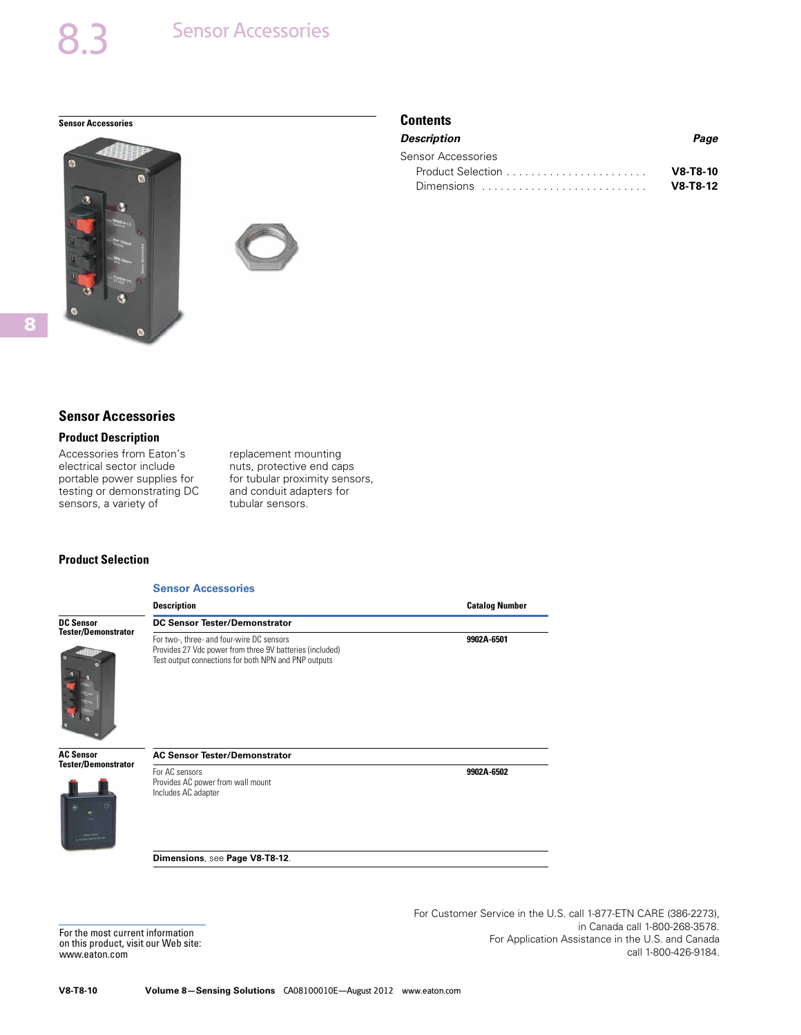<span id="page-9-0"></span>**Sensor Accessories Contents** 





#### **Sensor Accessories**

#### **Product Description**

Accessories from Eaton's electrical sector include portable power supplies for testing or demonstrating DC sensors, a variety of

replacement mounting nuts, protective end caps for tubular proximity sensors, and conduit adapters for tubular sensors.

#### **Product Selection**

#### **Sensor Accessories**

|                            | <b>Description</b>                                                                                                                                            | <b>Catalog Number</b> |
|----------------------------|---------------------------------------------------------------------------------------------------------------------------------------------------------------|-----------------------|
| <b>DC Sensor</b>           | <b>DC Sensor Tester/Demonstrator</b>                                                                                                                          |                       |
| <b>Tester/Demonstrator</b> | For two-, three- and four-wire DC sensors<br>Provides 27 Vdc power from three 9V batteries (included)<br>Test output connections for both NPN and PNP outputs | 9902A-6501            |
| <b>AC Sensor</b>           | <b>AC Sensor Tester/Demonstrator</b>                                                                                                                          |                       |

**AC Sensor Tester/Demonstrator**

For AC sensors Provides AC power from wall mount

Includes AC adapter

**Dimensions**, see **Page V8-T8-12**.

For the most current information on this product, visit our Web site: www.eaton.com

For Customer Service in the U.S. call 1-877-ETN CARE (386-2273), in Canada call 1-800-268-3578. For Application Assistance in the U.S. and Canada call 1-800-426-9184.

**9902A-6502**

*Description Page* Sensor Accessories Product Selection . . . . . . . . . . . . . . . . . . . . . . . **V8-T8-10** Dimensions . . . . . . . . . . . . . . . . . . . . . . . . . . . **V8-T8-12**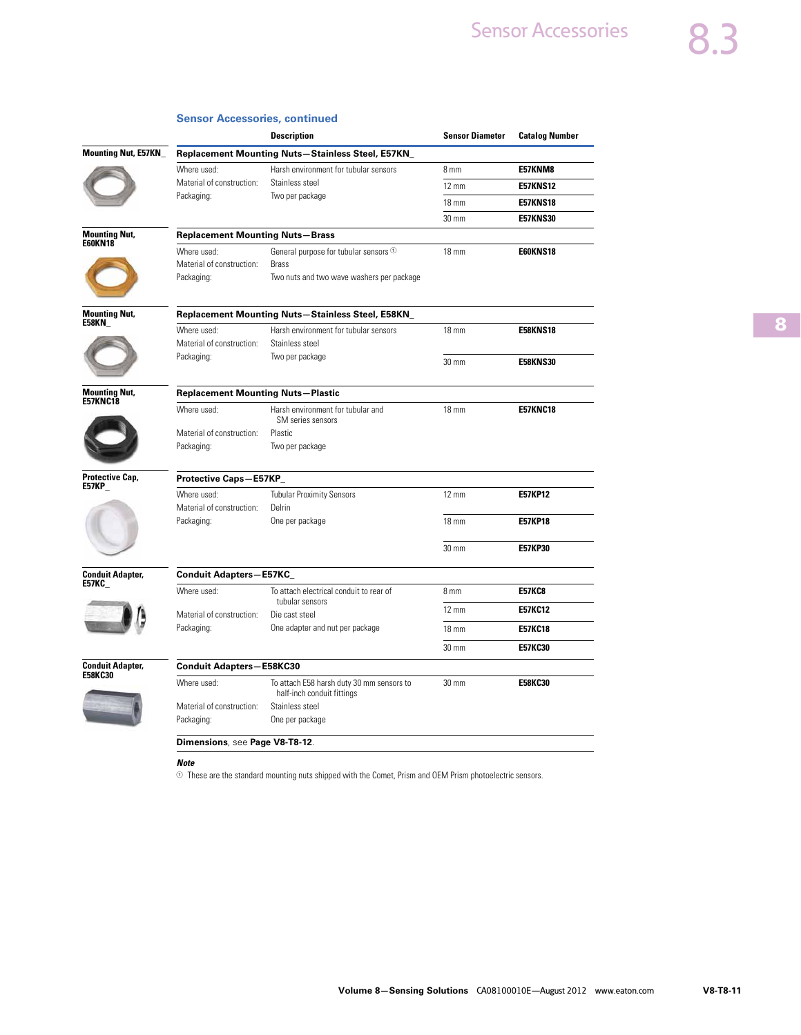|                                         |                                          | <b>Description</b>                                                      | <b>Sensor Diameter</b> | <b>Catalog Number</b> |  |  |
|-----------------------------------------|------------------------------------------|-------------------------------------------------------------------------|------------------------|-----------------------|--|--|
| Mounting Nut, E57KN_                    |                                          | Replacement Mounting Nuts-Stainless Steel, E57KN_                       |                        |                       |  |  |
|                                         | Where used:                              | Harsh environment for tubular sensors                                   | 8 mm                   | E57KNM8               |  |  |
|                                         | Material of construction:                | Stainless steel                                                         | $12 \text{ mm}$        | <b>E57KNS12</b>       |  |  |
|                                         | Packaging:                               | Two per package                                                         | $18 \text{ mm}$        | <b>E57KNS18</b>       |  |  |
|                                         |                                          |                                                                         | 30 mm                  | <b>E57KNS30</b>       |  |  |
| <b>Mounting Nut,</b>                    | <b>Replacement Mounting Nuts-Brass</b>   |                                                                         |                        |                       |  |  |
| <b>E60KN18</b>                          | Where used:                              | General purpose for tubular sensors <sup>1</sup>                        | <b>18 mm</b>           | <b>E60KNS18</b>       |  |  |
|                                         | Material of construction:                | <b>Brass</b>                                                            |                        |                       |  |  |
|                                         | Packaging:                               | Two nuts and two wave washers per package                               |                        |                       |  |  |
| <b>Mounting Nut,</b>                    |                                          | Replacement Mounting Nuts-Stainless Steel, E58KN_                       |                        |                       |  |  |
| E58KN                                   | Where used:                              | Harsh environment for tubular sensors                                   | 18 mm                  | <b>E58KNS18</b>       |  |  |
|                                         | Material of construction:                | Stainless steel                                                         |                        |                       |  |  |
|                                         | Packaging:                               | Two per package                                                         | 30 mm                  | <b>E58KNS30</b>       |  |  |
| <b>Mounting Nut,</b><br><b>E57KNC18</b> | <b>Replacement Mounting Nuts-Plastic</b> |                                                                         |                        |                       |  |  |
|                                         | Where used:                              | Harsh environment for tubular and<br>SM series sensors                  | $18 \text{ mm}$        | <b>E57KNC18</b>       |  |  |
|                                         | Material of construction:                | <b>Plastic</b>                                                          |                        |                       |  |  |
|                                         | Packaging:                               | Two per package                                                         |                        |                       |  |  |
| Protective Cap,<br>E57KP                | Protective Caps-E57KP_                   |                                                                         |                        |                       |  |  |
|                                         | Where used:                              | <b>Tubular Proximity Sensors</b>                                        | $12 \text{ mm}$        | <b>E57KP12</b>        |  |  |
|                                         | Material of construction:                | Delrin                                                                  |                        |                       |  |  |
|                                         | Packaging:                               | One per package                                                         | <b>18 mm</b>           | <b>E57KP18</b>        |  |  |
|                                         |                                          |                                                                         | 30 mm                  | <b>E57KP30</b>        |  |  |
| <b>Conduit Adapter,</b><br>E57KC_       | <b>Conduit Adapters-E57KC_</b>           |                                                                         |                        |                       |  |  |
|                                         | Where used:                              | To attach electrical conduit to rear of                                 | 8 mm                   | <b>E57KC8</b>         |  |  |
|                                         | Material of construction:                | tubular sensors<br>Die cast steel                                       | $12 \text{ mm}$        | <b>E57KC12</b>        |  |  |
|                                         | Packaging:                               | One adapter and nut per package                                         | 18 mm                  | <b>E57KC18</b>        |  |  |
|                                         |                                          |                                                                         | 30 mm                  | <b>E57KC30</b>        |  |  |
| <b>Conduit Adapter,</b><br>E58KC30      | <b>Conduit Adapters-E58KC30</b>          |                                                                         |                        |                       |  |  |
|                                         | Where used:                              | To attach E58 harsh duty 30 mm sensors to<br>half-inch conduit fittings | $30 \text{ mm}$        | <b>E58KC30</b>        |  |  |
|                                         | Material of construction:                | Stainless steel                                                         |                        |                       |  |  |
|                                         | Packaging:                               | One per package                                                         |                        |                       |  |  |
|                                         | Dimensions, see Page V8-T8-12.           |                                                                         |                        |                       |  |  |
|                                         |                                          |                                                                         |                        |                       |  |  |

#### **Sensor Accessories, continued**

 $\odot$  These are the standard mounting nuts shipped with the Comet, Prism and OEM Prism photoelectric sensors.

*Note*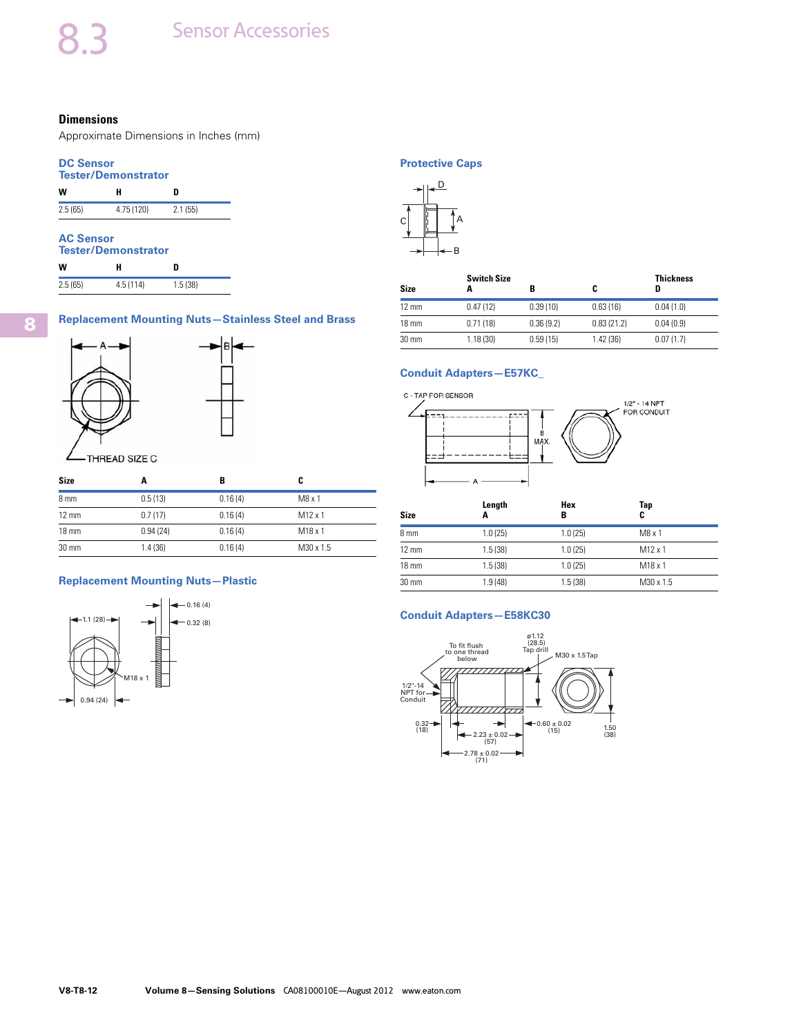#### <span id="page-11-0"></span>**Dimensions**

Approximate Dimensions in Inches (mm)

#### **DC Sensor Tester/Demonstrator**

| 1996878911191196801 |            |         |  |  |  |
|---------------------|------------|---------|--|--|--|
| w                   | н          | n       |  |  |  |
| 2.5(65)             | 4.75 (120) | 2.1(55) |  |  |  |

### **AC Sensor**

| <b>Tester/Demonstrator</b> |          |         |  |  |  |
|----------------------------|----------|---------|--|--|--|
| w                          | н        | n       |  |  |  |
| 2.5(65)                    | 4.5(114) | 1.5(38) |  |  |  |

#### **Replacement Mounting Nuts—Stainless Steel and Brass**





THREAD SIZE C

| <b>Size</b>     | A        |         | C                   |
|-----------------|----------|---------|---------------------|
| 8 <sub>mm</sub> | 0.5(13)  | 0.16(4) | M8x1                |
| $12 \text{ mm}$ | 0.7(17)  | 0.16(4) | $M12 \times 1$      |
| $18 \text{ mm}$ | 0.94(24) | 0.16(4) | M <sub>18</sub> x 1 |
| $30 \text{ mm}$ | 1.4(36)  | 0.16(4) | M30 x 1.5           |

#### **Replacement Mounting Nuts—Plastic**



#### **Protective Caps**



| Size            | <b>Switch Size</b><br>Α |           | C          | <b>Thickness</b><br>D |
|-----------------|-------------------------|-----------|------------|-----------------------|
| $12 \text{ mm}$ | 0.47(12)                | 0.39(10)  | 0.63(16)   | 0.04(1.0)             |
| $18 \text{ mm}$ | 0.71(18)                | 0.36(9.2) | 0.83(21.2) | 0.04(0.9)             |
| $30 \text{ mm}$ | 1.18(30)                | 0.59(15)  | 1.42(36)   | 0.07(1.7)             |

#### **Conduit Adapters—E57KC\_**



| <b>Size</b>     | Length<br>A | Hex<br>в | Tap<br>C       |  |
|-----------------|-------------|----------|----------------|--|
| 8 mm            | 1.0(25)     | 1.0(25)  | M8x1           |  |
| $12 \text{ mm}$ | 1.5(38)     | 1.0(25)  | $M12 \times 1$ |  |
| $18 \text{ mm}$ | 1.5(38)     | 1.0(25)  | M18x1          |  |
| $30 \text{ mm}$ | 1.9(48)     | 1.5(38)  | M30 x 1.5      |  |

#### **Conduit Adapters—E58KC30**

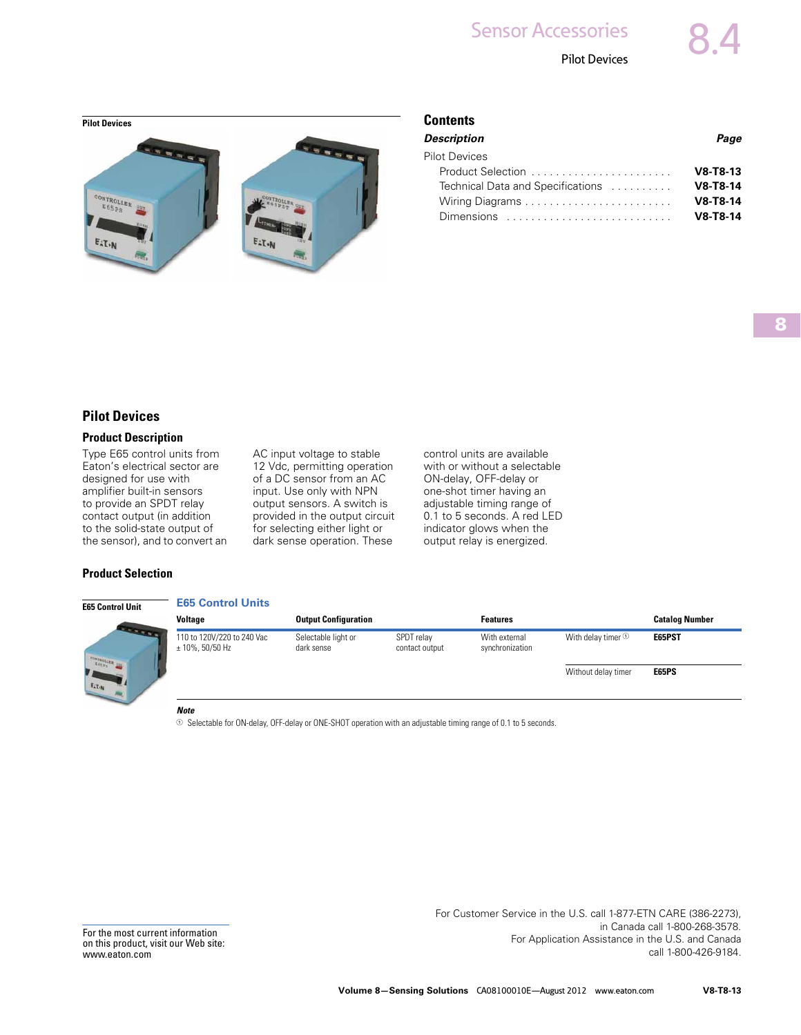Pilot Devices

<span id="page-12-0"></span>

| <b>Description</b>                                                   | Page       |
|----------------------------------------------------------------------|------------|
| <b>Pilot Devices</b>                                                 |            |
|                                                                      | $V8-T8-13$ |
| Technical Data and Specifications                                    | $V8-T8-14$ |
|                                                                      | $V8-T8-14$ |
| Dimensions $\ldots \ldots \ldots \ldots \ldots \ldots \ldots \ldots$ | $V8-T8-14$ |
|                                                                      |            |

#### **Pilot Devices**

#### **Product Description**

Type E65 control units from Eaton's electrical sector are designed for use with amplifier built-in sensors to provide an SPDT relay contact output (in addition to the solid-state output of the sensor), and to convert an AC input voltage to stable 12 Vdc, permitting operation of a DC sensor from an AC input. Use only with NPN output sensors. A switch is provided in the output circuit for selecting either light or dark sense operation. These

control units are available with or without a selectable ON-delay, OFF-delay or one-shot timer having an adjustable timing range of 0.1 to 5 seconds. A red LED indicator glows when the output relay is energized.

#### **Product Selection**



|              | <b>Voltage</b>                                    | <b>Output Configuration</b>       |                              | <b>Features</b>                  |                          | <b>Catalog Number</b> |
|--------------|---------------------------------------------------|-----------------------------------|------------------------------|----------------------------------|--------------------------|-----------------------|
| <b>START</b> | 110 to 120V/220 to 240 Vac<br>$\pm$ 10%, 50/50 Hz | Selectable light or<br>dark sense | SPDT relay<br>contact output | With external<br>synchronization | With delay timer $\odot$ | E65PST                |
|              |                                                   |                                   |                              |                                  | Without delay timer      | E65PS                 |

#### *Note*

**E65 Control Units** 

 $\odot$  Selectable for ON-delay, OFF-delay or ONE-SHOT operation with an adjustable timing range of 0.1 to 5 seconds.

For Customer Service in the U.S. call 1-877-ETN CARE (386-2273), in Canada call 1-800-268-3578. For Application Assistance in the U.S. and Canada call 1-800-426-9184.